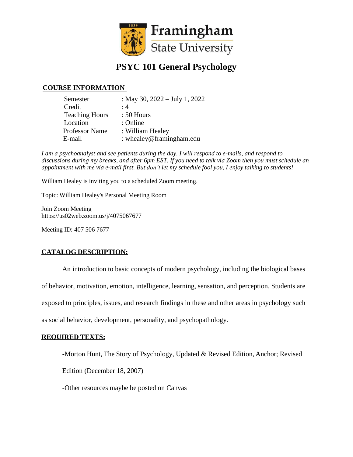

# **PSYC 101 General Psychology**

# **COURSE INFORMATION**

| Semester              | : May 30, $2022 - July 1, 2022$ |
|-----------------------|---------------------------------|
| Credit                | :4                              |
| <b>Teaching Hours</b> | $: 50$ Hours                    |
| Location              | : Online                        |
| <b>Professor Name</b> | : William Healey                |
| E-mail                | : whealey@framingham.edu        |

*I am a psychoanalyst and see patients during the day. I will respond to e-mails, and respond to* discussions during my breaks, and after 6pm EST. If you need to talk via Zoom then you must schedule an appointment with me via e-mail first. But don't let my schedule fool you, I enjoy talking to students!

William Healey is inviting you to a scheduled Zoom meeting.

Topic: William Healey's Personal Meeting Room

Join Zoom Meeting https://us02web.zoom.us/j/4075067677

Meeting ID: 407 506 7677

# **CATALOG DESCRIPTION:**

An introduction to basic concepts of modern psychology, including the biological bases

of behavior, motivation, emotion, intelligence, learning, sensation, and perception. Students are

exposed to principles, issues, and research findings in these and other areas in psychology such

as social behavior, development, personality, and psychopathology.

### **REQUIRED TEXTS:**

-Morton Hunt, The Story of Psychology, Updated & Revised Edition, Anchor; Revised

Edition (December 18, 2007)

-Other resources maybe be posted on Canvas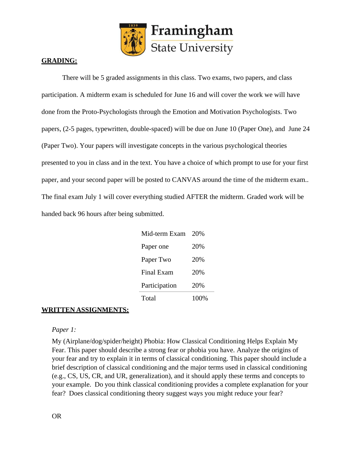

### **GRADING:**

There will be 5 graded assignments in this class. Two exams, two papers, and class participation. A midterm exam is scheduled for June 16 and will cover the work we will have done from the Proto-Psychologists through the Emotion and Motivation Psychologists. Two papers, (2-5 pages, typewritten, double-spaced) will be due on June 10 (Paper One), and June 24 (Paper Two). Your papers will investigate concepts in the various psychological theories presented to you in class and in the text. You have a choice of which prompt to use for your first paper, and your second paper will be posted to CANVAS around the time of the midterm exam.. The final exam July 1 will cover everything studied AFTER the midterm. Graded work will be handed back 96 hours after being submitted.

| Mid-term Exam | 20\%  |
|---------------|-------|
| Paper one     | 20%   |
| Paper Two     | 20%   |
| Final Exam    | 20%   |
| Participation | 20%   |
| Total         | 100\% |

## **WRITTEN ASSIGNMENTS:**

### *Paper 1:*

My (Airplane/dog/spider/height) Phobia: How Classical Conditioning Helps Explain My Fear. This paper should describe a strong fear or phobia you have. Analyze the origins of your fear and try to explain it in terms of classical conditioning. This paper should include a brief description of classical conditioning and the major terms used in classical conditioning (e.g., CS, US, CR, and UR, generalization), and it should apply these terms and concepts to your example. Do you think classical conditioning provides a complete explanation for your fear? Does classical conditioning theory suggest ways you might reduce your fear?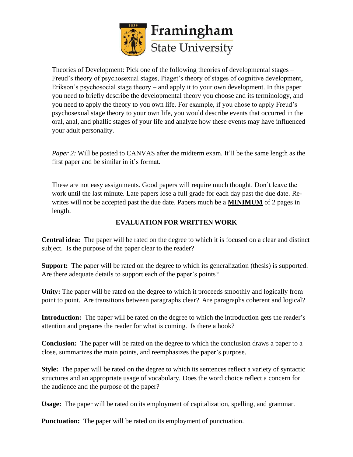

Theories of Development: Pick one of the following theories of developmental stages – Freud's theory of psychosexual stages, Piaget's theory of stages of cognitive development, Erikson's psychosocial stage theory – and apply it to your own development. In this paper you need to briefly describe the developmental theory you choose and its terminology, and you need to apply the theory to you own life. For example, if you chose to apply Freud's psychosexual stage theory to your own life, you would describe events that occurred in the oral, anal, and phallic stages of your life and analyze how these events may have influenced your adult personality.

*Paper* 2: Will be posted to CANVAS after the midterm exam. It'll be the same length as the first paper and be similar in it's format.

These are not easy assignments. Good papers will require much thought. Don't leave the work until the last minute. Late papers lose a full grade for each day past the due date. Rewrites will not be accepted past the due date. Papers much be a **MINIMUM** of 2 pages in length.

# **EVALUATION FOR WRITTEN WORK**

**Central idea:** The paper will be rated on the degree to which it is focused on a clear and distinct subject. Is the purpose of the paper clear to the reader?

**Support:** The paper will be rated on the degree to which its generalization (thesis) is supported. Are there adequate details to support each of the paper's points?

**Unity:** The paper will be rated on the degree to which it proceeds smoothly and logically from point to point. Are transitions between paragraphs clear? Are paragraphs coherent and logical?

**Introduction:** The paper will be rated on the degree to which the introduction gets the reader's attention and prepares the reader for what is coming. Is there a hook?

**Conclusion:** The paper will be rated on the degree to which the conclusion draws a paper to a close, summarizes the main points, and reemphasizes the paper's purpose.

**Style:** The paper will be rated on the degree to which its sentences reflect a variety of syntactic structures and an appropriate usage of vocabulary. Does the word choice reflect a concern for the audience and the purpose of the paper?

**Usage:** The paper will be rated on its employment of capitalization, spelling, and grammar.

**Punctuation:** The paper will be rated on its employment of punctuation.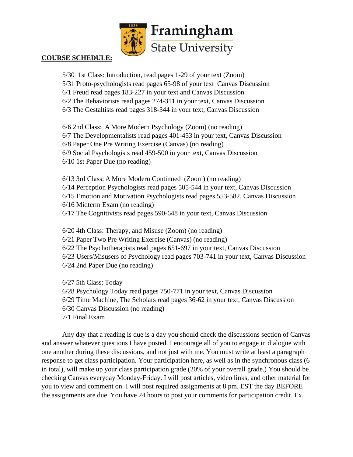

## **COURSE SCHEDULE:**

5/30 1st Class: Introduction, read pages 1-29 of your text (Zoom) 5/31 Proto-psychologists read pages 65-98 of your text Canvas Discussion 6/1 Freud read pages 183-227 in your text and Canvas Discussion 6/2 The Behaviorists read pages 274-311 in your text, Canvas Discussion 6/3 The Gestaltists read pages 318-344 in your text, Canvas Discussion

6/6 2nd Class: A More Modern Psychology (Zoom) (no reading) 6/7 The Developmentalists read pages 401-453 in your text, Canvas Discussion 6/8 Paper One Pre Writing Exercise (Canvas) (no reading) 6/9 Social Psychologists read 459-500 in your text, Canvas Discussion 6/10 1st Paper Due (no reading)

6/13 3rd Class: A More Modern Continued (Zoom) (no reading) 6/14 Perception Psychologists read pages 505-544 in your text, Canvas Discussion 6/15 Emotion and Motivation Psychologists read pages 553-582, Canvas Discussion 6/16 Midterm Exam (no reading) 6/17 The Cognitivists read pages 590-648 in your text, Canvas Discussion

6/20 4th Class: Therapy, and Misuse (Zoom) (no reading) 6/21 Paper Two Pre Writing Exercise (Canvas) (no reading) 6/22 The Psychotherapists read pages 651-697 in your text, Canvas Discussion 6/23 Users/Misusers of Psychology read pages 703-741 in your text, Canvas Discussion 6/24 2nd Paper Due (no reading)

6/27 5th Class: Today 6/28 Psychology Today read pages 750-771 in your text, Canvas Discussion 6/29 Time Machine, The Scholars read pages 36-62 in your text, Canvas Discussion 6/30 Canvas Discussion (no reading) 7/1 Final Exam

Any day that a reading is due is a day you should check the discussions section of Canvas and answer whatever questions I have posted. I encourage all of you to engage in dialogue with one another during these discussions, and not just with me. You must write at least a paragraph response to get class participation. Your participation here, as well as in the synchronous class (6 in total), will make up your class participation grade (20% of your overall grade.) You should be checking Canvas everyday Monday-Friday. I will post articles, video links, and other material for you to view and comment on. I will post required assignments at 8 pm. EST the day BEFORE the assignments are due. You have 24 hours to post your comments for participation credit. Ex.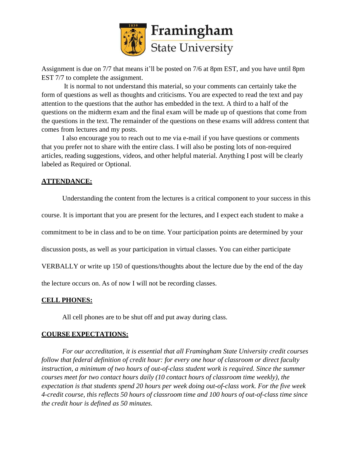

Assignment is due on 7/7 that means it'll be posted on 7/6 at 8pm EST, and you have until 8pm EST 7/7 to complete the assignment.

It is normal to not understand this material, so your comments can certainly take the form of questions as well as thoughts and criticisms. You are expected to read the text and pay attention to the questions that the author has embedded in the text. A third to a half of the questions on the midterm exam and the final exam will be made up of questions that come from the questions in the text. The remainder of the questions on these exams will address content that comes from lectures and my posts.

I also encourage you to reach out to me via e-mail if you have questions or comments that you prefer not to share with the entire class. I will also be posting lots of non-required articles, reading suggestions, videos, and other helpful material. Anything I post will be clearly labeled as Required or Optional.

## **ATTENDANCE:**

Understanding the content from the lectures is a critical component to your success in this

course. It is important that you are present for the lectures, and I expect each student to make a

commitment to be in class and to be on time. Your participation points are determined by your

discussion posts, as well as your participation in virtual classes. You can either participate

VERBALLY or write up 150 of questions/thoughts about the lecture due by the end of the day

the lecture occurs on. As of now I will not be recording classes.

### **CELL PHONES:**

All cell phones are to be shut off and put away during class.

### **COURSE EXPECTATIONS:**

*For our accreditation, it is essential that all Framingham State University credit courses follow that federal definition of credit hour: for every one hour of classroom or direct faculty instruction, a minimum of two hours of out-of-class student work is required. Since the summer courses meet for two contact hours daily (10 contact hours of classroom time weekly), the expectation is that students spend 20 hours per week doing out-of-class work. For the five week 4-credit course, this reflects 50 hours of classroom time and 100 hours of out-of-class time since the credit hour is defined as 50 minutes.*